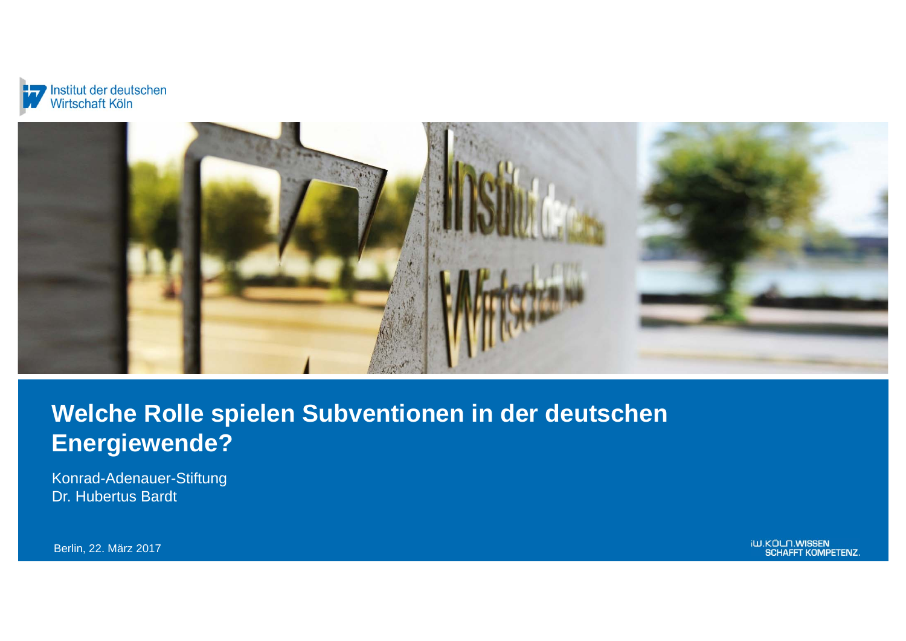



# **Welche Rolle spielen Subventionen in der deutschen Energiewende?**

Konrad-Adenauer-Stiftung Dr. Hubertus Bardt

Berlin, 22. März 2017

iW.KÖLN.WISSEN<br>SCHAFFT KOMPETENZ.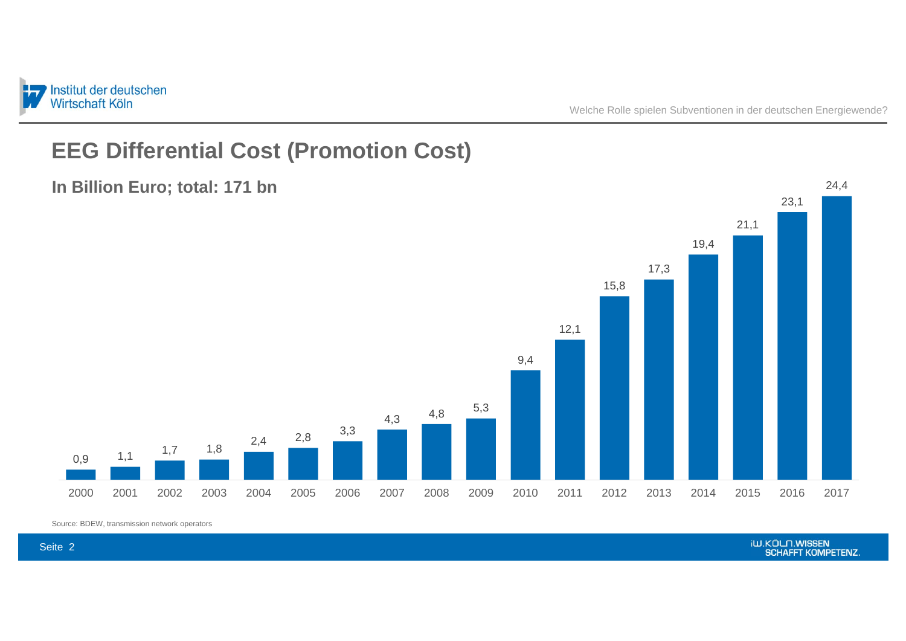

## **EEG Differential Cost (Promotion Cost)**



**In Billion Euro; total: 171 bn**

Source: BDEW, transmission network operators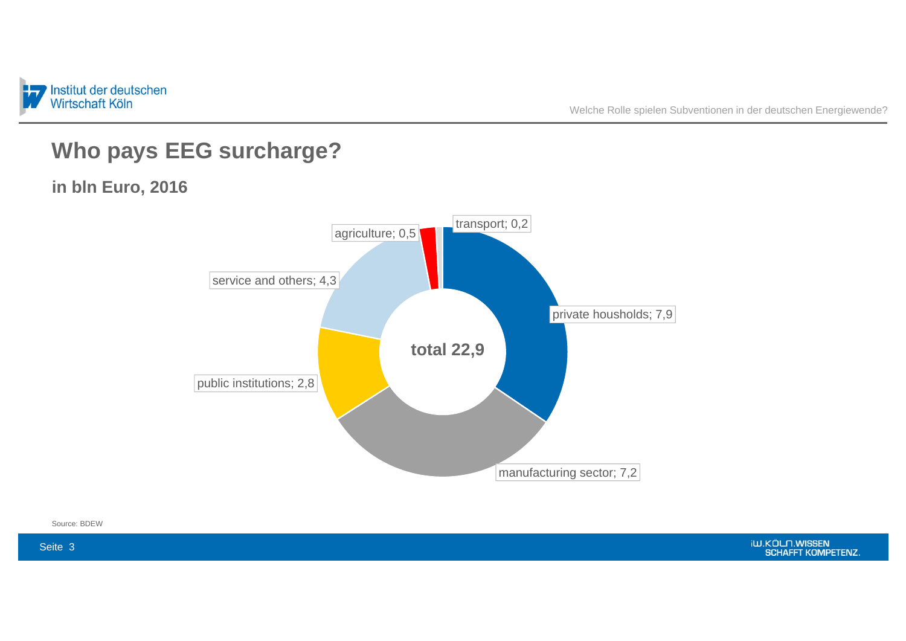

Welche Rolle spielen Subventionen in der deutschen Energiewende?

## **Who pays EEG surcharge?**

**in bln Euro, 2016**



Source: BDEW

iW.KÖLN.WISSEN<br>SCHAFFT KOMPETENZ.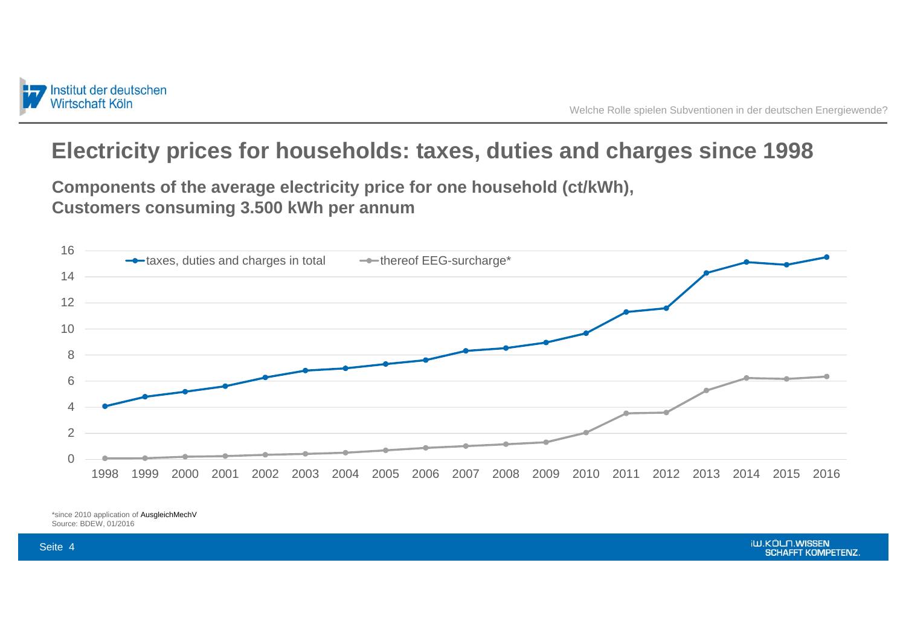

## **Electricity prices for households: taxes, duties and charges since 1998**

**Components of the average electricity price for one household (ct/kWh), Customers consuming 3.500 kWh per annum**



\*since 2010 application of AusgleichMechV Source: BDEW, 01/2016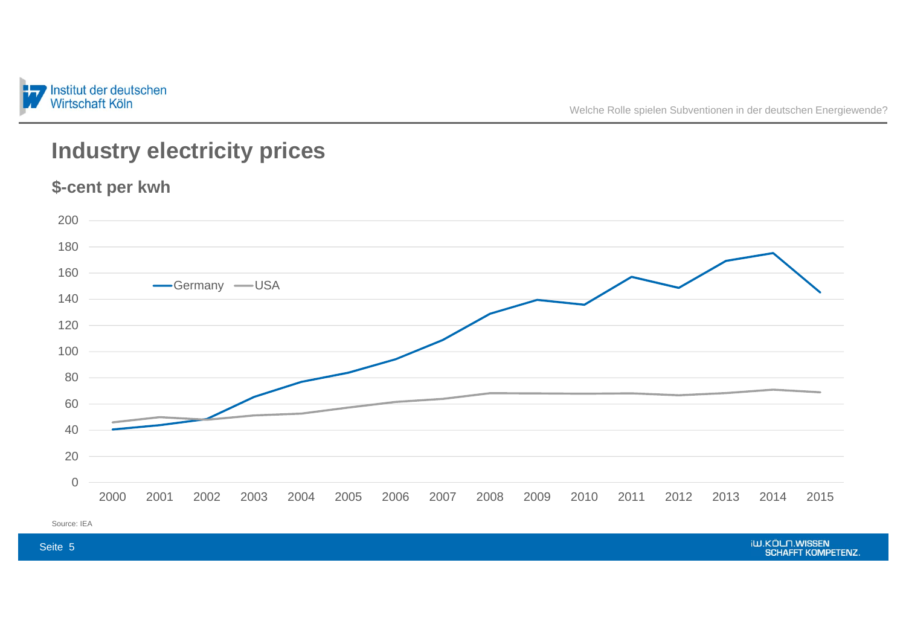

## **Industry electricity prices**

**\$-cent per kwh**

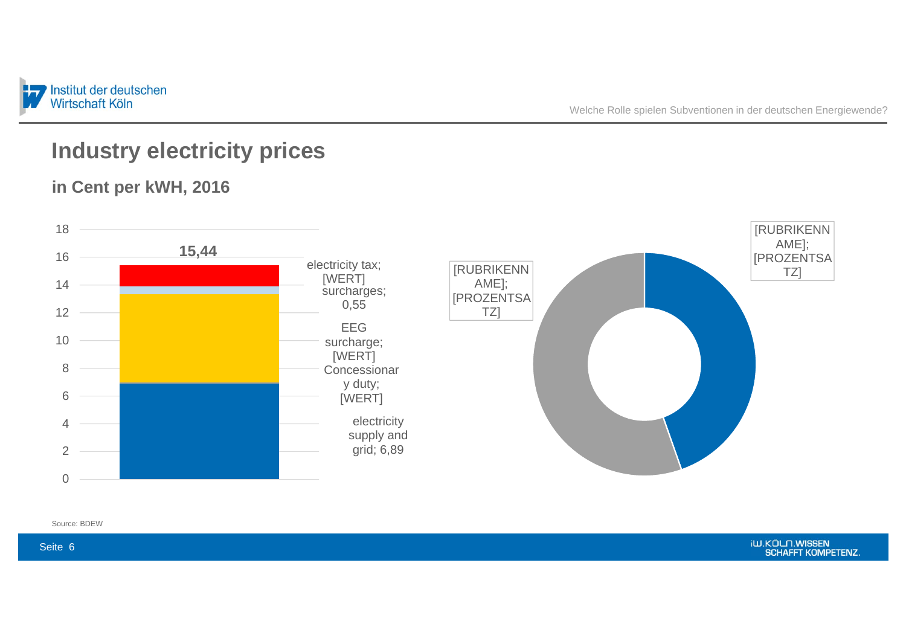

## **Industry electricity prices**





Seite 6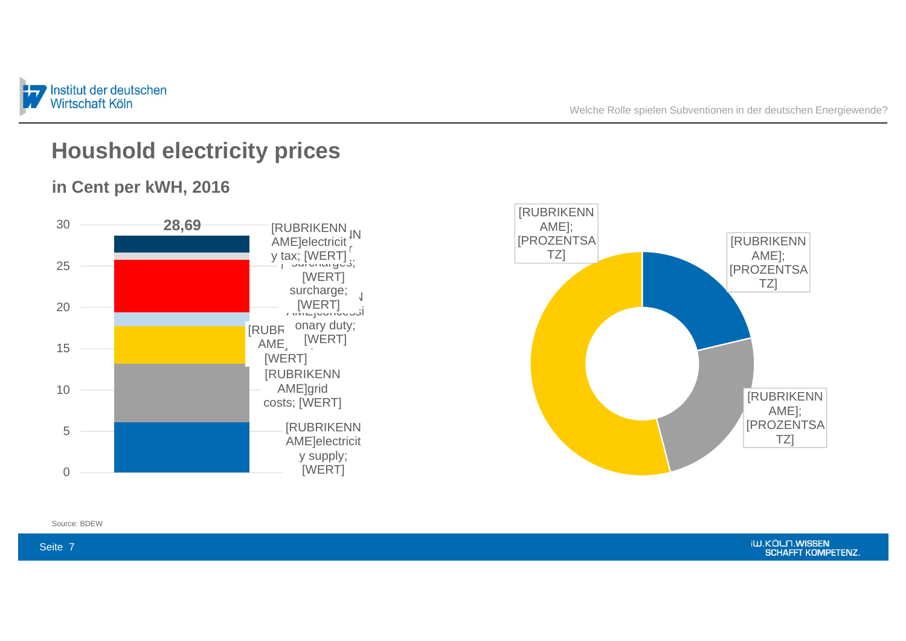

#### **Houshold electricity prices**

#### **in Cent per kWH, 2016**





Seite 7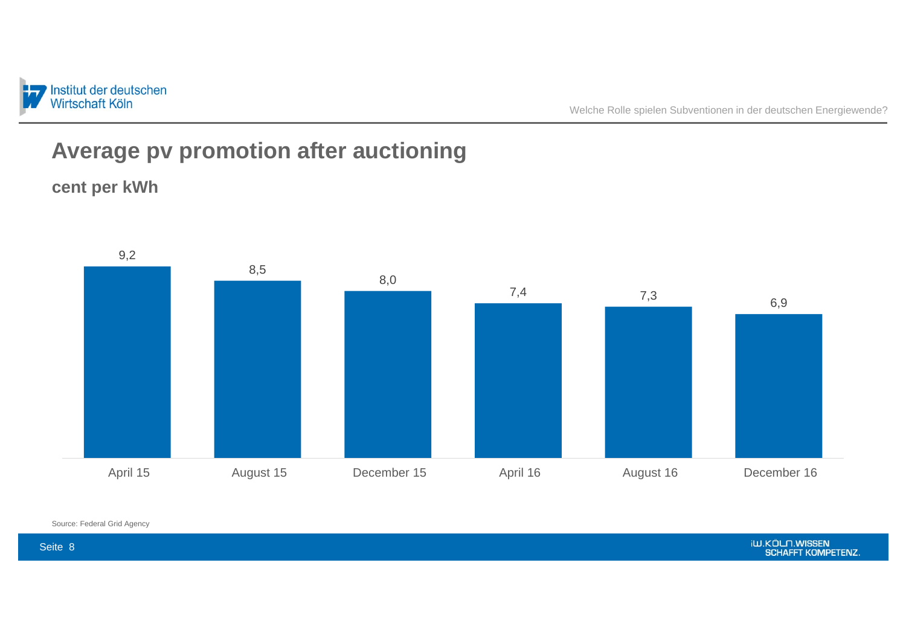

Welche Rolle spielen Subventionen in der deutschen Energiewende?

## **Average pv promotion after auctioning**





Source: Federal Grid Agency